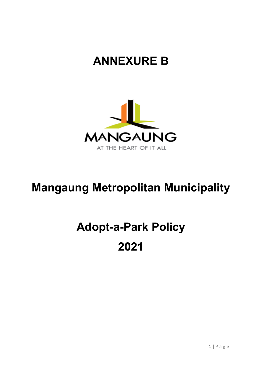# **ANNEXURE B**



# **Mangaung Metropolitan Municipality**

# **Adopt-a-Park Policy 2021**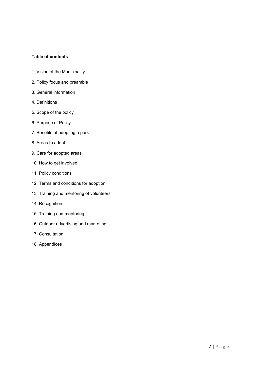# **Table of contents**

- 1. Vision of the Municipality
- 2. Policy focus and preamble
- 3. General information
- 4. Definitions
- 5. Scope of the policy
- 6. Purpose of Policy
- 7. Benefits of adopting a park
- 8. Areas to adopt
- 9. Care for adopted areas
- 10. How to get involved
- 11. Policy conditions
- 12. Terms and conditions for adoption
- 13. Training and mentoring of volunteers
- 14. Recognition
- 15. Training and mentoring
- 16. Outdoor advertising and marketing
- 17. Consultation
- 18. Appendices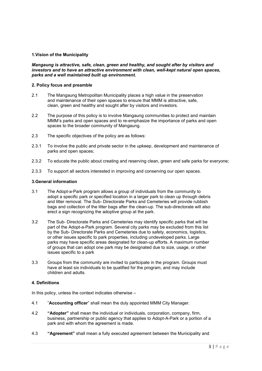# **1.Vision of the Municipality**

#### *Mangaung is attractive, safe, clean, green and healthy, and sought after by visitors and investors and to have an attractive environment with clean, well-kept natural open spaces, parks and a well maintained built up environment.*

#### **2. Policy focus and preamble**

- 2.1 The Mangaung Metropolitan Municipality places a high value in the preservation and maintenance of their open spaces to ensure that MMM is attractive, safe, clean, green and healthy and sought after by visitors and investors.
- 2.2 The purpose of this policy is to involve Mangaung communities to protect and maintain MMM's parks and open spaces and to re-emphasize the importance of parks and open spaces to the broader community of Mangaung.
- 2.3 The specific objectives of the policy are as follows:
- 2.3.1 To involve the public and private sector in the upkeep, development and maintenance of parks and open spaces;
- 2.3.2 To educate the public about creating and reserving clean, green and safe parks for everyone;
- 2.3.3 To support all sectors interested in improving and conserving our open spaces.

#### **3.General information**

- 3.1 The Adopt-a-Park program allows a group of individuals from the community to adopt a specific park or specified location in a larger park to clean up through debris and litter removal. The Sub- Directorate Parks and Cemeteries will provide rubbish bags and collection of the litter bags after the clean-up. The sub-directorate will also erect a sign recognizing the adoptive group at the park.
- 3.2 The Sub- Directorate Parks and Cemeteries may identify specific parks that will be part of the Adopt-a-Park program. Several city parks may be excluded from this list by the Sub- Directorate Parks and Cemeteries due to safety, economics, logistics, or other issues specific to park properties, including undeveloped parks. Large parks may have specific areas designated for clean-up efforts. A maximum number of groups that can adopt one park may be designated due to size, usage, or other issues specific to a park
- . 3.3 Groups from the community are invited to participate in the program. Groups must have at least six individuals to be qualified for the program, and may include children and adults.

# **4. Definitions**

In this policy, unless the context indicates otherwise –

- 4.1 "**Accounting officer**" shall mean the duly appointed MMM City Manager.
- 4.2 **"Adopter"** shall mean the individual or individuals, corporation, company, firm, business, partnership or public agency that applies to Adopt-A-Park or a portion of a park and with whom the agreement is made.
- 4.3 **"Agreement"** shall mean a fully executed agreement between the Municipality and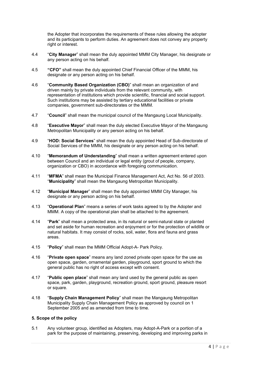the Adopter that incorporates the requirements of these rules allowing the adopter and its participants to perform duties. An agreement does not convey any property right or interest.

- 4.4 "**City Manager**" shall mean the duly appointed MMM City Manager, his designate or any person acting on his behalf.
- 4.5 **"CFO"** shall mean the duly appointed Chief Financial Officer of the MMM, his designate or any person acting on his behalf.
- 4.6 "**Community Based Organization (CBO)**" shall mean an organization of and driven mainly by private individuals from the relevant community, with representation of institutions which provide scientific, financial and social support. Such institutions may be assisted by tertiary educational facilities or private companies, government sub-directorates or the MMM.
- 4.7 "**Council**" shall mean the municipal council of the Mangaung Local Municipality.
- 4.8 "**Executive Mayor**" shall mean the duly elected Executive Mayor of the Mangaung Metropolitan Municipality or any person acting on his behalf.
- 4.9 "**HOD: Social Services**" shall mean the duly appointed Head of Sub-directorate of Social Services of the MMM, his designate or any person acting on his behalf.
- 4.10 "**Memorandum of Understanding**" shall mean a written agreement entered upon between Council and an individual or legal entity (grout of people, company, organization or CBO) in accordance with foregoing communication.
- 4.11 "**MFMA**" shall mean the Municipal Finance Management Act, Act No. 56 of 2003. "**Municipality**" shall mean the Mangaung Metropolitan Municipality.
- 4.12 "**Municipal Manager**" shall mean the duly appointed MMM City Manager, his designate or any person acting on his behalf.
- 4.13 "**Operational Plan**" means a series of work tasks agreed to by the Adopter and MMM. A copy of the operational plan shall be attached to the agreement.
- 4.14 "**Park**" shall mean a protected area, in its natural or semi-natural state or planted and set aside for human recreation and enjoyment or for the protection of wildlife or natural habitats. It may consist of rocks, soil, water, flora and fauna and grass areas.
- 4.15 "**Policy**" shall mean the MMM Official Adopt-A- Park Policy.
- 4.16 "**Private open space**" means any land zoned private open space for the use as open space, garden, ornamental garden, playground, sport ground to which the general public has no right of access except with consent.
- 4.17 "**Public open place**" shall mean any land used by the general public as open space, park, garden, playground, recreation ground, sport ground, pleasure resort or square.
- 4.18 "**Supply Chain Management Policy**" shall mean the Mangaung Metropolitan Municipality Supply Chain Management Policy as approved by council on 1 September 2005 and as amended from time to time.

# **5. Scope of the policy**

5.1 Any volunteer group, identified as Adopters, may Adopt-A-Park or a portion of a park for the purpose of maintaining, preserving, developing and improving parks in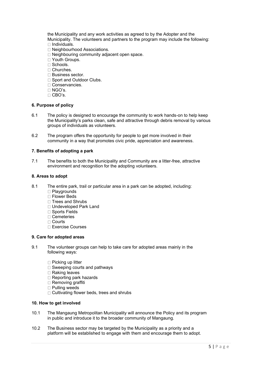the Municipality and any work activities as agreed to by the Adopter and the Municipality. The volunteers and partners to the program may include the following:  $\Box$  Individuals.

- □ Neighbourhood Associations.
- $\Box$  Neighbouring community adjacent open space.
- □ Youth Groups.
- □ Schools.
- Churches.
- □ Business sector.
- □ Sport and Outdoor Clubs.
- □ Conservancies.
- NGO's.
- $\Box$  CBO's.

#### **6. Purpose of policy**

- 6.1 The policy is designed to encourage the community to work hands-on to help keep the Municipality's parks clean, safe and attractive through debris removal by various groups of individuals as volunteers.
- 6.2 The program offers the opportunity for people to get more involved in their community in a way that promotes civic pride, appreciation and awareness.

#### **7. Benefits of adopting a park**

7.1 The benefits to both the Municipality and Community are a litter-free, attractive environment and recognition for the adopting volunteers.

# **8. Areas to adopt**

- 8.1 The entire park, trail or particular area in a park can be adopted, including:
	- $\Box$  Playgrounds
	- □ Flower Beds
	- $\Box$  Trees and Shrubs
	- Undeveloped Park Land
	- □ Sports Fields
	- □ Cemeteries
	- Courts
	- Exercise Courses

#### **9. Care for adopted areas**

- 9.1 The volunteer groups can help to take care for adopted areas mainly in the following ways:
	- □ Picking up litter
	- $\square$  Sweeping courts and pathways
	- □ Raking leaves
	- □ Reporting park hazards
	- □ Removing graffiti
	- □ Pulling weeds
	- $\Box$  Cultivating flower beds, trees and shrubs

#### **10. How to get involved**

- 10.1 The Mangaung Metropolitan Municipality will announce the Policy and its program in public and introduce it to the broader community of Mangaung.
- 10.2 The Business sector may be targeted by the Municipality as a priority and a platform will be established to engage with them and encourage them to adopt.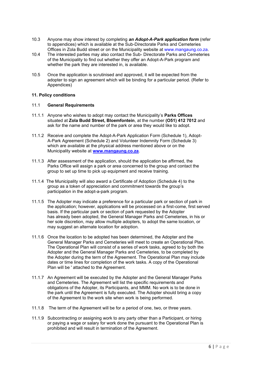- 10.3 Anyone may show interest by completing *an Adopt-A-Park application form* (refer to appendices) which is available at the Sub-Directorate Parks and Cemeteries Offices in Zola Budd street or on the Municipality website at www.mangaung.co.za.
- 10.4 The interested parties may also contact the Sub- Directorate Parks and Cemeteries of the Municipality to find out whether they offer an Adopt-A-Park program and whether the park they are interested in, is available.
- 10.5 Once the application is scrutinised and approved, it will be expected from the adopter to sign an agreement which will be binding for a particular period. (Refer to Appendices)

# **11. Policy conditions**

#### 11.1 **General Requirements**

- 11.1.1 Anyone who wishes to adopt may contact the Municipality's **Parks Offices** situated at **Zola Budd Street, Bloemfontein**, at the number **(O51) 412 7012** and ask for the name and number of the park or area they would like to adopt.
- 11.1.2 Receive and complete the Adopt-A-Park Application Form (Schedule 1), Adopt-A-Park Agreement (Schedule 2) and Volunteer Indemnity Form (Schedule 3) which are available at the physical address mentioned above or on the Municipality website at **[www.mangaung.co.za](http://www.mangaung.co.za/)**.
- 11.1.3 After assessment of the application, should the application be affirmed, the Parks Office will assign a park or area concerned to the group and contact the group to set up time to pick up equipment and receive training.
- 11.1.4 The Municipality will also award a Certificate of Adoption (Schedule 4) to the group as a token of appreciation and commitment towards the group's participation in the adopt-a-park program.
- 11.1.5 The Adopter may indicate a preference for a particular park or section of park in the application; however, applications will be processed on a first-come, first served basis. If the particular park or section of park requested by the Adopter has already been adopted, the General Manager Parks and Cemeteries, in his or her sole discretion, may allow multiple adopters, to adopt the same location, or may suggest an alternate location for adoption.
- 11.1.6 Once the location to be adopted has been determined, the Adopter and the General Manager Parks and Cemeteries will meet to create an Operational Plan. The Operational Plan will consist of a series of work tasks, agreed to by both the Adopter and the General Manager Parks and Cemeteries, to be completed by the Adopter during the term of the Agreement. The Operational Plan may include dates or time lines for completion of the work tasks. A copy of the Operational Plan will be ' attached to the Agreement.
- 11.1.7 An Agreement will be executed by the Adopter and the General Manager Parks and Cemeteries. The Agreement will list the specific requirements and obligations of the Adopter, its Participants, and MMM. No work is to be done in the park until the Agreement is fully executed. The Adopter should bring a copy of the Agreement to the work site when work is being performed.
- 11.1.8 The term of the Agreement will be for a period of one, two, or three years.
- 11.1.9 Subcontracting or assigning work to any party other than a Participant, or hiring or paying a wage or salary for work done the pursuant to the Operational Plan is prohibited and will result in termination of the Agreement.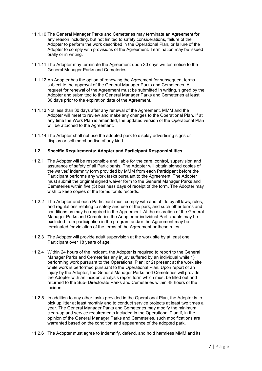- 11.1.10 The General Manager Parks and Cemeteries may terminate an Agreement for any reason including, but not limited to safety considerations, failure of the Adopter to perform the work described in the Operational Plan, or failure of the Adopter to comply with provisions of the Agreement. Termination may be issued orally or in writing.
- 11.1.11 The Adopter may terminate the Agreement upon 30 days written notice to the General Manager Parks and Cemeteries.
- 11.1.12 An Adopter has the option of renewing the Agreement for subsequent terms subject to the approval of the General Manager Parks and Cemeteries. A request for renewal of the Agreement must be submitted in writing, signed by the Adopter and submitted to the General Manager Parks and Cemeteries at least 30 days prior to the expiration date of the Agreement.
- 11.1.13 Not less than 30 days after any renewal of the Agreement, MMM and the Adopter will meet to review and make any changes to the Operational Plan. If at any time the Work Plan is amended, the updated version of the Operational Plan will be attached to the Agreement.
- 11.1.14 The Adopter shall not use the adopted park to display advertising signs or display or sell merchandise of any kind.

# 11.2 **Specific Requirements: Adopter and Participant Responsibilities**

- 11.2.1 The Adopter will be responsible and liable for the care, control, supervision and assurance of safety of all Participants. The Adopter will obtain signed copies of the waiver/ indemnity form provided by MMM from each Participant before the Participant performs any work tasks pursuant to the Agreement. The Adopter must submit the original signed waiver form to the General Manager Parks and Cemeteries within five (5) business days of receipt of the form. The Adopter may wish to keep copies of the forms for its records.
- 11.2.2 The Adopter and each Participant must comply with and abide by all laws, rules, and regulations relating to safety and use of the park, and such other terms and conditions as may be required in the Agreement. At the discretion of the General Manager Parks and Cemeteries the Adopter or individual Participants may be excluded from participation in the program and/or the Agreement may be terminated for violation of the terms of the Agreement or these rules.
- 11.2.3 The Adopter will provide adult supervision at the work site by at least one Participant over 18 years of age.
- 11.2.4 Within 24 hours of the incident, the Adopter is required to report to the General Manager Parks and Cemeteries any injury suffered by an individual while 1) performing work pursuant to the Operational Plan; or 2) present at the work site while work is performed pursuant to the Operational Plan. Upon report of an injury by the Adopter, the General Manager Parks and Cemeteries will provide the Adopter with an incident analysis report form which must be filled out and returned to the Sub- Directorate Parks and Cemeteries within 48 hours of the incident.
- 11.2.5 In addition to any other tasks provided in the Operational Plan, the Adopter is to pick up litter at least monthly and to conduct service projects at least two times a year. The General Manager Parks and Cemeteries may modify the minimum clean-up and service requirements included in the Operational Plan if, in the opinion of the General Manager Parks and Cemeteries, such modifications are warranted based on the condition and appearance of the adopted park.
- 11.2.6 The Adopter must agree to indemnify, defend, and hold harmless MMM and its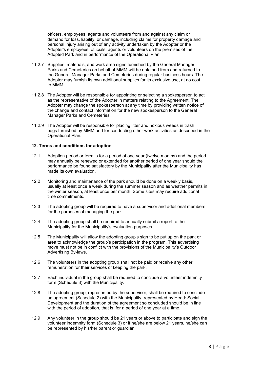officers, employees, agents and volunteers from and against any claim or demand for loss, liability, or damage, including claims for property damage and personal injury arising out of any activity undertaken by the Adopter or the Adopter's employees, officials, agents or volunteers on the premises of the Adopted Park and in performance of the Operational Plan.

- 11.2.7 Supplies, materials, and work area signs furnished by the General Manager Parks and Cemeteries on behalf of MMM will be obtained from and returned to the General Manager Parks and Cemeteries during regular business hours. The Adopter may furnish its own additional supplies for its exclusive use, at no cost to MMM.
- 11.2.8 The Adopter will be responsible for appointing or selecting a spokesperson to act as the representative of the Adopter in matters relating to the Agreement. The Adopter may change the spokesperson at any time by providing written notice of the change and contact information for the new spokesperson to the General Manager Parks and Cemeteries.
- 11.2.9 The Adopter will be responsible for placing litter and noxious weeds in trash bags furnished by MMM and for conducting other work activities as described in the Operational Plan.

#### **12. Terms and conditions for adoption**

- 12.1 Adoption period or term is for a period of one year (twelve months) and the period may annually be renewed or extended for another period of one year should the performance be found satisfactory by the Municipality after the Municipality has made its own evaluation.
- 12.2 Monitoring and maintenance of the park should be done on a weekly basis, usually at least once a week during the summer season and as weather permits in the winter season, at least once per month. Some sites may require additional time commitments.
- 12.3 The adopting group will be required to have a supervisor and additional members, for the purposes of managing the park.
- 12.4 The adopting group shall be required to annually submit a report to the Municipality for the Municipality's evaluation purposes.
- 12.5 The Municipality will allow the adopting group's sign to be put up on the park or area to acknowledge the group's participation in the program. This advertising move must not be in conflict with the provisions of the Municipality's Outdoor Advertising By-laws.
- 12.6 The volunteers in the adopting group shall not be paid or receive any other remuneration for their services of keeping the park.
- 12.7 Each individual in the group shall be required to conclude a volunteer indemnity form (Schedule 3) with the Municipality.
- 12.8 The adopting group, represented by the supervisor, shall be required to conclude an agreement (Schedule 2) with the Municipality, represented by Head: Social Development and the duration of the agreement so concluded should be in line with the period of adoption, that is, for a period of one year at a time.
- 12.9 Any volunteer in the group should be 21 years or above to participate and sign the volunteer indemnity form (Schedule 3) or if he/she are below 21 years, he/she can be represented by his/her parent or guardian.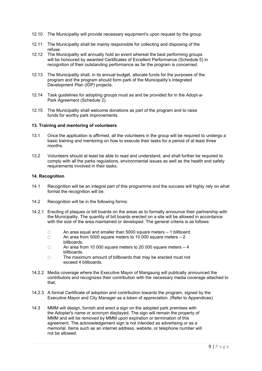- 12.10 The Municipality will provide necessary equipment's upon request by the group.
- 12.11 The Municipality shall be mainly responsible for collecting and disposing of the refuse.
- 12.12 The Municipality will annually hold an event whereat the best performing groups will be honoured by awarded Certificates of Excellent Performance (Schedule 5) in recognition of their outstanding performance as far the program is concerned.
- 12.13 The Municipality shall, in its annual budget, allocate funds for the purposes of the program and the program should form park of the Municipality's Integrated Development Plan (IDP) projects.
- 12.14 Task guidelines for adopting groups must as and be provided for in the Adopt-a-Park Agreement (Schedule 2).
- 12.15 The Municipality shall welcome donations as part of the program and to raise funds for worthy park improvements.

#### **13. Training and mentoring of volunteers**

- 13.1 Once the application is affirmed, all the volunteers in the group will be required to undergo a basic training and mentoring on how to execute their tasks for a period of at least three months.
- 13.2 Volunteers should at least be able to read and understand, and shall further be required to comply with all the parks regulations, environmental issues as well as the health and safety requirements involved in their tasks.

# **14. Recognition**

- 14.1 Recognition will be an integral part of this programme and the success will highly rely on what format the recognition will be.
- 14.2 Recognition will be in the following forms:
- 14.2.1 Erecting of plaques or bill boards on the areas as to formally announce their partnership with the Municipality. The quantity of bill boards erected on a site will be allowed in accordance with the size of the area maintained or developed. The general criteria is as follows:
	- $\Box$ An area equal and smaller than 5000 square meters – 1 billboard.
	- $\Box$ An area from 5000 square meters to 10 000 square meters – 2 billboards.
	- $\Box$ An area from 10 000 square meters to 20 000 square meters – 4 billboards.
	- $\Box$ The maximum amount of billboards that may be erected must not exceed 4 billboards.
- 14.2.2 Media coverage where the Executive Mayor of Mangaung will publically announced the contributors and recognizes their contribution with the necessary media coverage attached to that.
- 14.2.3 A formal Certificate of adoption and contribution towards the program, signed by the Executive Mayor and City Manager as a token of appreciation. (Refer to Appendices)
- 14.3 MMM will design, furnish and erect a sign on the adopted park premises with the Adopter's name or acronym displayed. The sign will remain the property of MMM and will be removed by MMM upon expiration or termination of this agreement. The acknowledgement sign is not intended as advertising or as a memorial. Items such as an internet address, website, or telephone number will not be allowed.